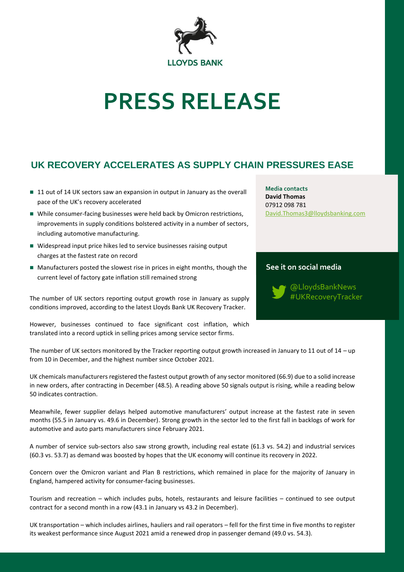

# **PRESS RELEASE**

## **UK RECOVERY ACCELERATES AS SUPPLY CHAIN PRESSURES EASE**

- 11 out of 14 UK sectors saw an expansion in output in January as the overall pace of the UK's recovery accelerated
- While consumer-facing businesses were held back by Omicron restrictions, improvements in supply conditions bolstered activity in a number of sectors, including automotive manufacturing.
- Widespread input price hikes led to service businesses raising output charges at the fastest rate on record
- Manufacturers posted the slowest rise in prices in eight months, though the current level of factory gate inflation still remained strong

The number of UK sectors reporting output growth rose in January as supply conditions improved, according to the latest Lloyds Bank UK Recovery Tracker.

However, businesses continued to face significant cost inflation, which translated into a record uptick in selling prices among service sector firms.

**Media contacts David Thomas** 07912 098 781 [David.Thomas3@lloydsbanking.com](mailto:David.Thomas3@lloydsbanking.com)

### **See it on social media**

@LloydsBankNews #UKRecoveryTracker

The number of UK sectors monitored by the Tracker reporting output growth increased in January to 11 out of 14 – up from 10 in December, and the highest number since October 2021.

UK chemicals manufacturers registered the fastest output growth of any sector monitored (66.9) due to a solid increase in new orders, after contracting in December (48.5). A reading above 50 signals output is rising, while a reading below 50 indicates contraction.

Meanwhile, fewer supplier delays helped automotive manufacturers' output increase at the fastest rate in seven months (55.5 in January vs. 49.6 in December). Strong growth in the sector led to the first fall in backlogs of work for automotive and auto parts manufacturers since February 2021.

A number of service sub-sectors also saw strong growth, including real estate (61.3 vs. 54.2) and industrial services (60.3 vs. 53.7) as demand was boosted by hopes that the UK economy will continue its recovery in 2022.

Concern over the Omicron variant and Plan B restrictions, which remained in place for the majority of January in England, hampered activity for consumer-facing businesses.

Tourism and recreation – which includes pubs, hotels, restaurants and leisure facilities – continued to see output contract for a second month in a row (43.1 in January vs 43.2 in December).

UK transportation – which includes airlines, hauliers and rail operators – fell for the first time in five months to register its weakest performance since August 2021 amid a renewed drop in passenger demand (49.0 vs. 54.3).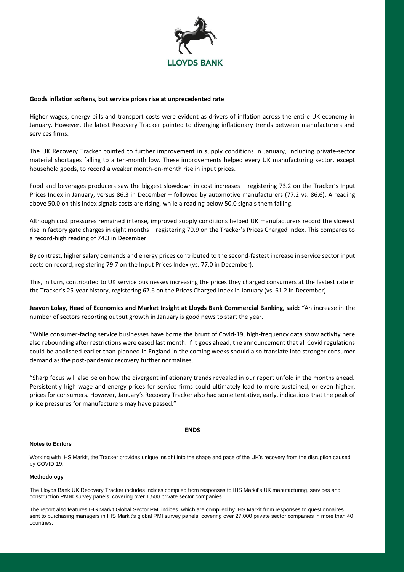

#### **Goods inflation softens, but service prices rise at unprecedented rate**

Higher wages, energy bills and transport costs were evident as drivers of inflation across the entire UK economy in January. However, the latest Recovery Tracker pointed to diverging inflationary trends between manufacturers and services firms.

The UK Recovery Tracker pointed to further improvement in supply conditions in January, including private-sector material shortages falling to a ten-month low. These improvements helped every UK manufacturing sector, except household goods, to record a weaker month-on-month rise in input prices.

Food and beverages producers saw the biggest slowdown in cost increases – registering 73.2 on the Tracker's Input Prices Index in January, versus 86.3 in December – followed by automotive manufacturers (77.2 vs. 86.6). A reading above 50.0 on this index signals costs are rising, while a reading below 50.0 signals them falling.

Although cost pressures remained intense, improved supply conditions helped UK manufacturers record the slowest rise in factory gate charges in eight months – registering 70.9 on the Tracker's Prices Charged Index. This compares to a record-high reading of 74.3 in December.

By contrast, higher salary demands and energy prices contributed to the second-fastest increase in service sector input costs on record, registering 79.7 on the Input Prices Index (vs. 77.0 in December).

This, in turn, contributed to UK service businesses increasing the prices they charged consumers at the fastest rate in the Tracker's 25-year history, registering 62.6 on the Prices Charged Index in January (vs. 61.2 in December).

**Jeavon Lolay, Head of Economics and Market Insight at Lloyds Bank Commercial Banking, said:** "An increase in the number of sectors reporting output growth in January is good news to start the year.

"While consumer-facing service businesses have borne the brunt of Covid-19, high-frequency data show activity here also rebounding after restrictions were eased last month. If it goes ahead, the announcement that all Covid regulations could be abolished earlier than planned in England in the coming weeks should also translate into stronger consumer demand as the post-pandemic recovery further normalises.

"Sharp focus will also be on how the divergent inflationary trends revealed in our report unfold in the months ahead. Persistently high wage and energy prices for service firms could ultimately lead to more sustained, or even higher, prices for consumers. However, January's Recovery Tracker also had some tentative, early, indications that the peak of price pressures for manufacturers may have passed."

#### **ENDS**

#### **Notes to Editors**

Working with IHS Markit, the Tracker provides unique insight into the shape and pace of the UK's recovery from the disruption caused by COVID-19.

#### **Methodology**

The Lloyds Bank UK Recovery Tracker includes indices compiled from responses to IHS Markit's UK manufacturing, services and construction PMI® survey panels, covering over 1,500 private sector companies.

The report also features IHS Markit Global Sector PMI indices, which are compiled by IHS Markit from responses to questionnaires sent to purchasing managers in IHS Markit's global PMI survey panels, covering over 27,000 private sector companies in more than 40 countries.